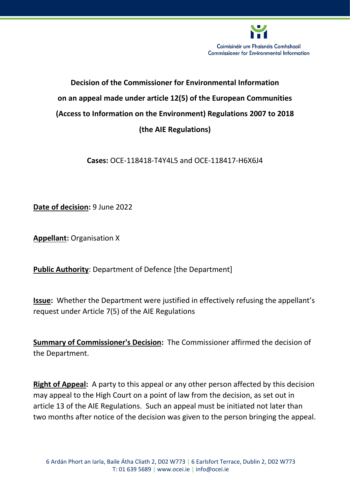

# **Decision of the Commissioner for Environmental Information on an appeal made under article 12(5) of the European Communities (Access to Information on the Environment) Regulations 2007 to 2018 (the AIE Regulations)**

**Cases:** OCE-118418-T4Y4L5 and OCE-118417-H6X6J4

**Date of decision:** 9 June 2022

**Appellant: Organisation X** 

**Public Authority**: Department of Defence [the Department]

**Issue:** Whether the Department were justified in effectively refusing the appellant's request under Article 7(5) of the AIE Regulations

**Summary of Commissioner's Decision:** The Commissioner affirmed the decision of the Department.

**Right of Appeal:** A party to this appeal or any other person affected by this decision may appeal to the High Court on a point of law from the decision, as set out in article 13 of the AIE Regulations. Such an appeal must be initiated not later than two months after notice of the decision was given to the person bringing the appeal.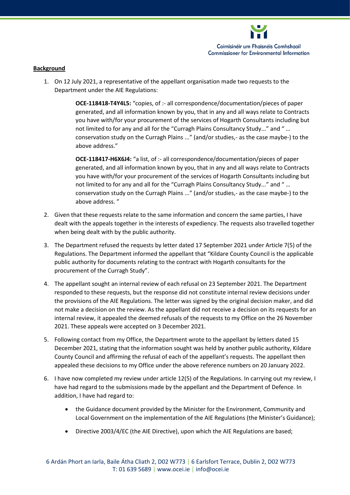

#### **Background**

1. On 12 July 2021, a representative of the appellant organisation made two requests to the Department under the AIE Regulations:

> **OCE-118418-T4Y4L5:** "copies, of :- all correspondence/documentation/pieces of paper generated, and all information known by you, that in any and all ways relate to Contracts you have with/for your procurement of the services of Hogarth Consultants including but not limited to for any and all for the "Curragh Plains Consultancy Study..." and " … conservation study on the Curragh Plains ..." (and/or studies,- as the case maybe-) to the above address."

> **OCE-118417-H6X6J4:** "a list, of :- all correspondence/documentation/pieces of paper generated, and all information known by you, that in any and all ways relate to Contracts you have with/for your procurement of the services of Hogarth Consultants including but not limited to for any and all for the "Curragh Plains Consultancy Study..." and " … conservation study on the Curragh Plains ..." (and/or studies,- as the case maybe-) to the above address. "

- 2. Given that these requests relate to the same information and concern the same parties, I have dealt with the appeals together in the interests of expediency. The requests also travelled together when being dealt with by the public authority.
- 3. The Department refused the requests by letter dated 17 September 2021 under Article 7(5) of the Regulations. The Department informed the appellant that "Kildare County Council is the applicable public authority for documents relating to the contract with Hogarth consultants for the procurement of the Curragh Study".
- 4. The appellant sought an internal review of each refusal on 23 September 2021. The Department responded to these requests, but the response did not constitute internal review decisions under the provisions of the AIE Regulations. The letter was signed by the original decision maker, and did not make a decision on the review. As the appellant did not receive a decision on its requests for an internal review, it appealed the deemed refusals of the requests to my Office on the 26 November 2021. These appeals were accepted on 3 December 2021.
- 5. Following contact from my Office, the Department wrote to the appellant by letters dated 15 December 2021, stating that the information sought was held by another public authority, Kildare County Council and affirming the refusal of each of the appellant's requests. The appellant then appealed these decisions to my Office under the above reference numbers on 20 January 2022.
- 6. I have now completed my review under article 12(5) of the Regulations. In carrying out my review, I have had regard to the submissions made by the appellant and the Department of Defence. In addition, I have had regard to:
	- the Guidance document provided by the Minister for the Environment, Community and Local Government on the implementation of the AIE Regulations (the Minister's Guidance);
	- Directive 2003/4/EC (the AIE Directive), upon which the AIE Regulations are based;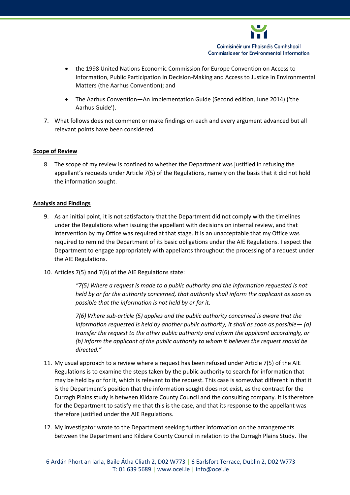

- the 1998 United Nations Economic Commission for Europe Convention on Access to Information, Public Participation in Decision-Making and Access to Justice in Environmental Matters (the Aarhus Convention); and
- The Aarhus Convention—An Implementation Guide (Second edition, June 2014) ('the Aarhus Guide').
- 7. What follows does not comment or make findings on each and every argument advanced but all relevant points have been considered.

## **Scope of Review**

8. The scope of my review is confined to whether the Department was justified in refusing the appellant's requests under Article 7(5) of the Regulations, namely on the basis that it did not hold the information sought.

## **Analysis and Findings**

- 9. As an initial point, it is not satisfactory that the Department did not comply with the timelines under the Regulations when issuing the appellant with decisions on internal review, and that intervention by my Office was required at that stage. It is an unacceptable that my Office was required to remind the Department of its basic obligations under the AIE Regulations. I expect the Department to engage appropriately with appellants throughout the processing of a request under the AIE Regulations.
- 10. Articles 7(5) and 7(6) of the AIE Regulations state:

*"7(5) Where a request is made to a public authority and the information requested is not held by or for the authority concerned, that authority shall inform the applicant as soon as possible that the information is not held by or for it.* 

*7(6) Where sub-article (5) applies and the public authority concerned is aware that the information requested is held by another public authority, it shall as soon as possible— (a) transfer the request to the other public authority and inform the applicant accordingly, or (b) inform the applicant of the public authority to whom it believes the request should be directed."*

- 11. My usual approach to a review where a request has been refused under Article 7(5) of the AIE Regulations is to examine the steps taken by the public authority to search for information that may be held by or for it, which is relevant to the request. This case is somewhat different in that it is the Department's position that the information sought does not exist, as the contract for the Curragh Plains study is between Kildare County Council and the consulting company. It is therefore for the Department to satisfy me that this is the case, and that its response to the appellant was therefore justified under the AIE Regulations.
- 12. My investigator wrote to the Department seeking further information on the arrangements between the Department and Kildare County Council in relation to the Curragh Plains Study. The